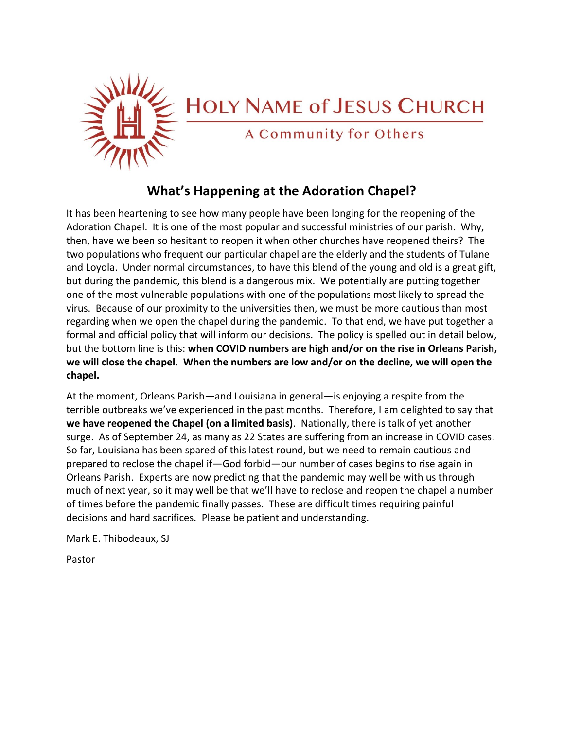

# **HOLY NAME of JESUS CHURCH**

A Community for Others

### **What's Happening at the Adoration Chapel?**

It has been heartening to see how many people have been longing for the reopening of the Adoration Chapel. It is one of the most popular and successful ministries of our parish. Why, then, have we been so hesitant to reopen it when other churches have reopened theirs? The two populations who frequent our particular chapel are the elderly and the students of Tulane and Loyola. Under normal circumstances, to have this blend of the young and old is a great gift, but during the pandemic, this blend is a dangerous mix. We potentially are putting together one of the most vulnerable populations with one of the populations most likely to spread the virus. Because of our proximity to the universities then, we must be more cautious than most regarding when we open the chapel during the pandemic. To that end, we have put together a formal and official policy that will inform our decisions. The policy is spelled out in detail below, but the bottom line is this: **when COVID numbers are high and/or on the rise in Orleans Parish, we will close the chapel. When the numbers are low and/or on the decline, we will open the chapel.** 

At the moment, Orleans Parish—and Louisiana in general—is enjoying a respite from the terrible outbreaks we've experienced in the past months. Therefore, I am delighted to say that **we have reopened the Chapel (on a limited basis)**. Nationally, there is talk of yet another surge. As of September 24, as many as 22 States are suffering from an increase in COVID cases. So far, Louisiana has been spared of this latest round, but we need to remain cautious and prepared to reclose the chapel if—God forbid—our number of cases begins to rise again in Orleans Parish. Experts are now predicting that the pandemic may well be with us through much of next year, so it may well be that we'll have to reclose and reopen the chapel a number of times before the pandemic finally passes. These are difficult times requiring painful decisions and hard sacrifices. Please be patient and understanding.

Mark E. Thibodeaux, SJ

Pastor